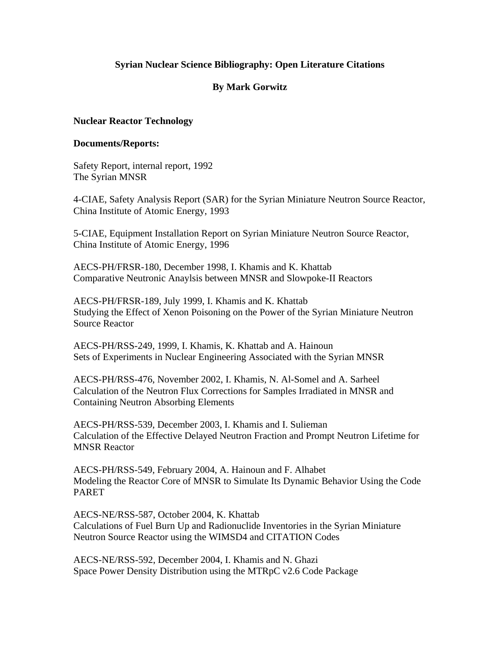# **Syrian Nuclear Science Bibliography: Open Literature Citations**

# **By Mark Gorwitz**

#### **Nuclear Reactor Technology**

#### **Documents/Reports:**

Safety Report, internal report, 1992 The Syrian MNSR

4-CIAE, Safety Analysis Report (SAR) for the Syrian Miniature Neutron Source Reactor, China Institute of Atomic Energy, 1993

5-CIAE, Equipment Installation Report on Syrian Miniature Neutron Source Reactor, China Institute of Atomic Energy, 1996

AECS-PH/FRSR-180, December 1998, I. Khamis and K. Khattab Comparative Neutronic Anaylsis between MNSR and Slowpoke-II Reactors

AECS-PH/FRSR-189, July 1999, I. Khamis and K. Khattab Studying the Effect of Xenon Poisoning on the Power of the Syrian Miniature Neutron Source Reactor

AECS-PH/RSS-249, 1999, I. Khamis, K. Khattab and A. Hainoun Sets of Experiments in Nuclear Engineering Associated with the Syrian MNSR

AECS-PH/RSS-476, November 2002, I. Khamis, N. Al-Somel and A. Sarheel Calculation of the Neutron Flux Corrections for Samples Irradiated in MNSR and Containing Neutron Absorbing Elements

AECS-PH/RSS-539, December 2003, I. Khamis and I. Sulieman Calculation of the Effective Delayed Neutron Fraction and Prompt Neutron Lifetime for MNSR Reactor

AECS-PH/RSS-549, February 2004, A. Hainoun and F. Alhabet Modeling the Reactor Core of MNSR to Simulate Its Dynamic Behavior Using the Code PARET

AECS-NE/RSS-587, October 2004, K. Khattab Calculations of Fuel Burn Up and Radionuclide Inventories in the Syrian Miniature Neutron Source Reactor using the WIMSD4 and CITATION Codes

AECS-NE/RSS-592, December 2004, I. Khamis and N. Ghazi Space Power Density Distribution using the MTRpC v2.6 Code Package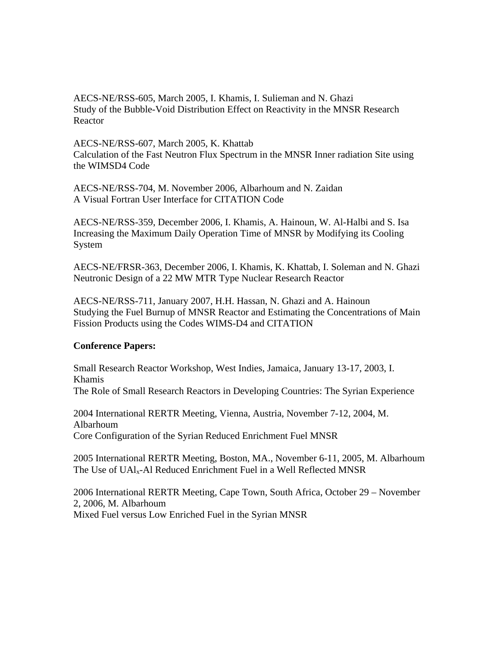AECS-NE/RSS-605, March 2005, I. Khamis, I. Sulieman and N. Ghazi Study of the Bubble-Void Distribution Effect on Reactivity in the MNSR Research Reactor

AECS-NE/RSS-607, March 2005, K. Khattab Calculation of the Fast Neutron Flux Spectrum in the MNSR Inner radiation Site using the WIMSD4 Code

AECS-NE/RSS-704, M. November 2006, Albarhoum and N. Zaidan A Visual Fortran User Interface for CITATION Code

AECS-NE/RSS-359, December 2006, I. Khamis, A. Hainoun, W. Al-Halbi and S. Isa Increasing the Maximum Daily Operation Time of MNSR by Modifying its Cooling System

AECS-NE/FRSR-363, December 2006, I. Khamis, K. Khattab, I. Soleman and N. Ghazi Neutronic Design of a 22 MW MTR Type Nuclear Research Reactor

AECS-NE/RSS-711, January 2007, H.H. Hassan, N. Ghazi and A. Hainoun Studying the Fuel Burnup of MNSR Reactor and Estimating the Concentrations of Main Fission Products using the Codes WIMS-D4 and CITATION

### **Conference Papers:**

Small Research Reactor Workshop, West Indies, Jamaica, January 13-17, 2003, I. Khamis The Role of Small Research Reactors in Developing Countries: The Syrian Experience

2004 International RERTR Meeting, Vienna, Austria, November 7-12, 2004, M. Albarhoum Core Configuration of the Syrian Reduced Enrichment Fuel MNSR

2005 International RERTR Meeting, Boston, MA., November 6-11, 2005, M. Albarhoum The Use of UAlx-Al Reduced Enrichment Fuel in a Well Reflected MNSR

2006 International RERTR Meeting, Cape Town, South Africa, October 29 – November 2, 2006, M. Albarhoum Mixed Fuel versus Low Enriched Fuel in the Syrian MNSR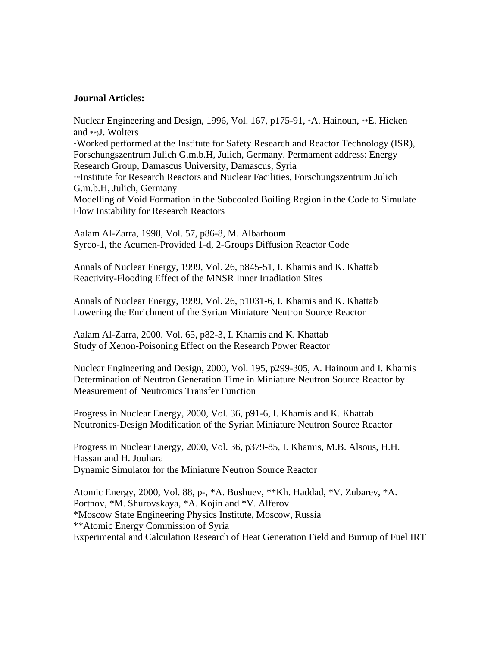#### **Journal Articles:**

Nuclear Engineering and Design, 1996, Vol. 167, p175-91, \*A. Hainoun, \*\*E. Hicken and \*\*)J. Wolters \*Worked performed at the Institute for Safety Research and Reactor Technology (ISR), Forschungszentrum Julich G.m.b.H, Julich, Germany. Permament address: Energy Research Group, Damascus University, Damascus, Syria \*\*Institute for Research Reactors and Nuclear Facilities, Forschungszentrum Julich G.m.b.H, Julich, Germany Modelling of Void Formation in the Subcooled Boiling Region in the Code to Simulate Flow Instability for Research Reactors

Aalam Al-Zarra, 1998, Vol. 57, p86-8, M. Albarhoum Syrco-1, the Acumen-Provided 1-d, 2-Groups Diffusion Reactor Code

Annals of Nuclear Energy, 1999, Vol. 26, p845-51, I. Khamis and K. Khattab Reactivity-Flooding Effect of the MNSR Inner Irradiation Sites

Annals of Nuclear Energy, 1999, Vol. 26, p1031-6, I. Khamis and K. Khattab Lowering the Enrichment of the Syrian Miniature Neutron Source Reactor

Aalam Al-Zarra, 2000, Vol. 65, p82-3, I. Khamis and K. Khattab Study of Xenon-Poisoning Effect on the Research Power Reactor

Nuclear Engineering and Design, 2000, Vol. 195, p299-305, A. Hainoun and I. Khamis Determination of Neutron Generation Time in Miniature Neutron Source Reactor by Measurement of Neutronics Transfer Function

Progress in Nuclear Energy, 2000, Vol. 36, p91-6, I. Khamis and K. Khattab Neutronics-Design Modification of the Syrian Miniature Neutron Source Reactor

Progress in Nuclear Energy, 2000, Vol. 36, p379-85, I. Khamis, M.B. Alsous, H.H. Hassan and H. Jouhara Dynamic Simulator for the Miniature Neutron Source Reactor

Atomic Energy, 2000, Vol. 88, p-, \*A. Bushuev, \*\*Kh. Haddad, \*V. Zubarev, \*A. Portnov, \*M. Shurovskaya, \*A. Kojin and \*V. Alferov \*Moscow State Engineering Physics Institute, Moscow, Russia \*\*Atomic Energy Commission of Syria Experimental and Calculation Research of Heat Generation Field and Burnup of Fuel IRT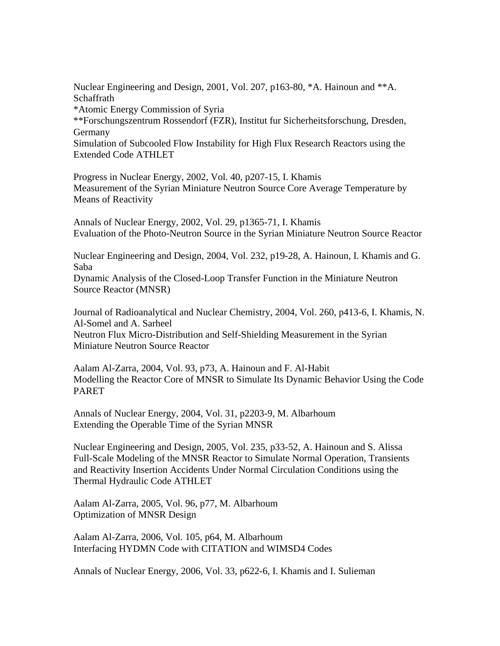Nuclear Engineering and Design, 2001, Vol. 207, p163-80, \*A. Hainoun and \*\*A. Schaffrath

\*Atomic Energy Commission of Syria

\*\*Forschungszentrum Rossendorf (FZR), Institut fur Sicherheitsforschung, Dresden, Germany

Simulation of Subcooled Flow Instability for High Flux Research Reactors using the Extended Code ATHLET

Progress in Nuclear Energy, 2002, Vol. 40, p207-15, I. Khamis Measurement of the Syrian Miniature Neutron Source Core Average Temperature by Means of Reactivity

Annals of Nuclear Energy, 2002, Vol. 29, p1365-71, I. Khamis Evaluation of the Photo-Neutron Source in the Syrian Miniature Neutron Source Reactor

Nuclear Engineering and Design, 2004, Vol. 232, p19-28, A. Hainoun, I. Khamis and G. Saba

Dynamic Analysis of the Closed-Loop Transfer Function in the Miniature Neutron Source Reactor (MNSR)

Journal of Radioanalytical and Nuclear Chemistry, 2004, Vol. 260, p413-6, I. Khamis, N. Al-Somel and A. Sarheel Neutron Flux Micro-Distribution and Self-Shielding Measurement in the Syrian Miniature Neutron Source Reactor

Aalam Al-Zarra, 2004, Vol. 93, p73, A. Hainoun and F. Al-Habit Modelling the Reactor Core of MNSR to Simulate Its Dynamic Behavior Using the Code PARET

Annals of Nuclear Energy, 2004, Vol. 31, p2203-9, M. Albarhoum Extending the Operable Time of the Syrian MNSR

Nuclear Engineering and Design, 2005, Vol. 235, p33-52, A. Hainoun and S. Alissa Full-Scale Modeling of the MNSR Reactor to Simulate Normal Operation, Transients and Reactivity Insertion Accidents Under Normal Circulation Conditions using the Thermal Hydraulic Code ATHLET

Aalam Al-Zarra, 2005, Vol. 96, p77, M. Albarhoum Optimization of MNSR Design

Aalam Al-Zarra, 2006, Vol. 105, p64, M. Albarhoum Interfacing HYDMN Code with CITATION and WIMSD4 Codes

Annals of Nuclear Energy, 2006, Vol. 33, p622-6, I. Khamis and I. Sulieman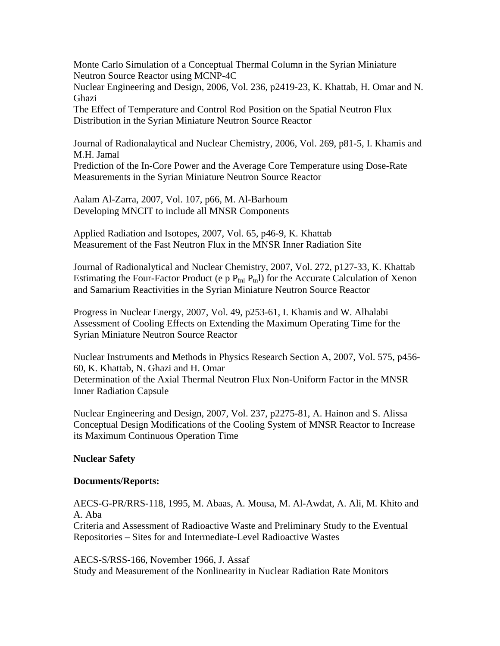Monte Carlo Simulation of a Conceptual Thermal Column in the Syrian Miniature Neutron Source Reactor using MCNP-4C

Nuclear Engineering and Design, 2006, Vol. 236, p2419-23, K. Khattab, H. Omar and N. Ghazi

The Effect of Temperature and Control Rod Position on the Spatial Neutron Flux Distribution in the Syrian Miniature Neutron Source Reactor

Journal of Radionalaytical and Nuclear Chemistry, 2006, Vol. 269, p81-5, I. Khamis and M.H. Jamal Prediction of the In-Core Power and the Average Core Temperature using Dose-Rate

Measurements in the Syrian Miniature Neutron Source Reactor

Aalam Al-Zarra, 2007, Vol. 107, p66, M. Al-Barhoum Developing MNCIT to include all MNSR Components

Applied Radiation and Isotopes, 2007, Vol. 65, p46-9, K. Khattab Measurement of the Fast Neutron Flux in the MNSR Inner Radiation Site

Journal of Radionalytical and Nuclear Chemistry, 2007, Vol. 272, p127-33, K. Khattab Estimating the Four-Factor Product (e p  $P_{fnl} P_{tnl}$ ) for the Accurate Calculation of Xenon and Samarium Reactivities in the Syrian Miniature Neutron Source Reactor

Progress in Nuclear Energy, 2007, Vol. 49, p253-61, I. Khamis and W. Alhalabi Assessment of Cooling Effects on Extending the Maximum Operating Time for the Syrian Miniature Neutron Source Reactor

Nuclear Instruments and Methods in Physics Research Section A, 2007, Vol. 575, p456- 60, K. Khattab, N. Ghazi and H. Omar Determination of the Axial Thermal Neutron Flux Non-Uniform Factor in the MNSR Inner Radiation Capsule

Nuclear Engineering and Design, 2007, Vol. 237, p2275-81, A. Hainon and S. Alissa Conceptual Design Modifications of the Cooling System of MNSR Reactor to Increase its Maximum Continuous Operation Time

### **Nuclear Safety**

### **Documents/Reports:**

AECS-G-PR/RRS-118, 1995, M. Abaas, A. Mousa, M. Al-Awdat, A. Ali, M. Khito and A. Aba

Criteria and Assessment of Radioactive Waste and Preliminary Study to the Eventual Repositories – Sites for and Intermediate-Level Radioactive Wastes

AECS-S/RSS-166, November 1966, J. Assaf

Study and Measurement of the Nonlinearity in Nuclear Radiation Rate Monitors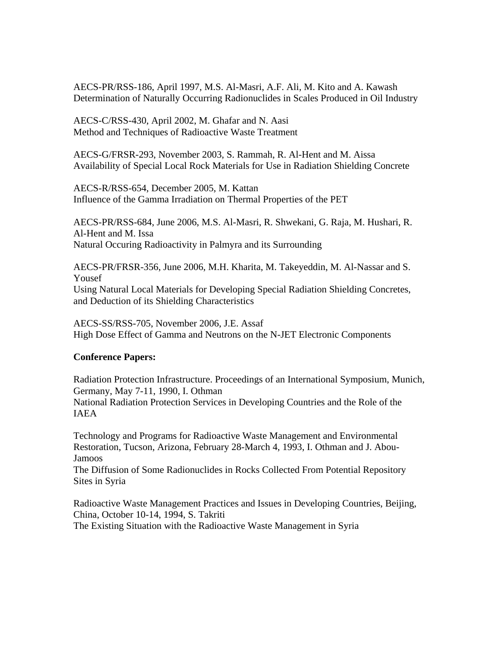AECS-PR/RSS-186, April 1997, M.S. Al-Masri, A.F. Ali, M. Kito and A. Kawash Determination of Naturally Occurring Radionuclides in Scales Produced in Oil Industry

AECS-C/RSS-430, April 2002, M. Ghafar and N. Aasi Method and Techniques of Radioactive Waste Treatment

AECS-G/FRSR-293, November 2003, S. Rammah, R. Al-Hent and M. Aissa Availability of Special Local Rock Materials for Use in Radiation Shielding Concrete

AECS-R/RSS-654, December 2005, M. Kattan Influence of the Gamma Irradiation on Thermal Properties of the PET

AECS-PR/RSS-684, June 2006, M.S. Al-Masri, R. Shwekani, G. Raja, M. Hushari, R. Al-Hent and M. Issa Natural Occuring Radioactivity in Palmyra and its Surrounding

AECS-PR/FRSR-356, June 2006, M.H. Kharita, M. Takeyeddin, M. Al-Nassar and S. Yousef Using Natural Local Materials for Developing Special Radiation Shielding Concretes, and Deduction of its Shielding Characteristics

AECS-SS/RSS-705, November 2006, J.E. Assaf High Dose Effect of Gamma and Neutrons on the N-JET Electronic Components

### **Conference Papers:**

Radiation Protection Infrastructure. Proceedings of an International Symposium, Munich, Germany, May 7-11, 1990, I. Othman National Radiation Protection Services in Developing Countries and the Role of the IAEA

Technology and Programs for Radioactive Waste Management and Environmental Restoration, Tucson, Arizona, February 28-March 4, 1993, I. Othman and J. Abou-Jamoos

The Diffusion of Some Radionuclides in Rocks Collected From Potential Repository Sites in Syria

Radioactive Waste Management Practices and Issues in Developing Countries, Beijing, China, October 10-14, 1994, S. Takriti The Existing Situation with the Radioactive Waste Management in Syria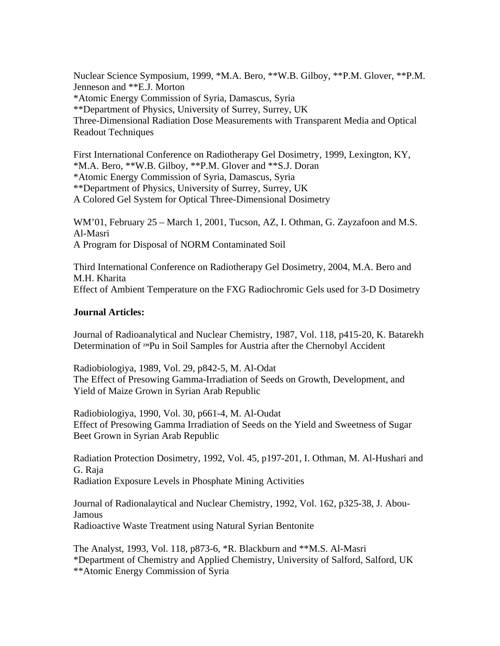Nuclear Science Symposium, 1999, \*M.A. Bero, \*\*W.B. Gilboy, \*\*P.M. Glover, \*\*P.M. Jenneson and \*\*E.J. Morton \*Atomic Energy Commission of Syria, Damascus, Syria \*\*Department of Physics, University of Surrey, Surrey, UK Three-Dimensional Radiation Dose Measurements with Transparent Media and Optical Readout Techniques

First International Conference on Radiotherapy Gel Dosimetry, 1999, Lexington, KY, \*M.A. Bero, \*\*W.B. Gilboy, \*\*P.M. Glover and \*\*S.J. Doran \*Atomic Energy Commission of Syria, Damascus, Syria \*\*Department of Physics, University of Surrey, Surrey, UK A Colored Gel System for Optical Three-Dimensional Dosimetry

WM'01, February 25 – March 1, 2001, Tucson, AZ, I. Othman, G. Zayzafoon and M.S. Al-Masri A Program for Disposal of NORM Contaminated Soil

Third International Conference on Radiotherapy Gel Dosimetry, 2004, M.A. Bero and M.H. Kharita Effect of Ambient Temperature on the FXG Radiochromic Gels used for 3-D Dosimetry

### **Journal Articles:**

Journal of Radioanalytical and Nuclear Chemistry, 1987, Vol. 118, p415-20, K. Batarekh Determination of **239**Pu in Soil Samples for Austria after the Chernobyl Accident

Radiobiologiya, 1989, Vol. 29, p842-5, M. Al-Odat The Effect of Presowing Gamma-Irradiation of Seeds on Growth, Development, and Yield of Maize Grown in Syrian Arab Republic

Radiobiologiya, 1990, Vol. 30, p661-4, M. Al-Oudat Effect of Presowing Gamma Irradiation of Seeds on the Yield and Sweetness of Sugar Beet Grown in Syrian Arab Republic

Radiation Protection Dosimetry, 1992, Vol. 45, p197-201, I. Othman, M. Al-Hushari and G. Raja Radiation Exposure Levels in Phosphate Mining Activities

Journal of Radionalaytical and Nuclear Chemistry, 1992, Vol. 162, p325-38, J. Abou-Jamous Radioactive Waste Treatment using Natural Syrian Bentonite

The Analyst, 1993, Vol. 118, p873-6, \*R. Blackburn and \*\*M.S. Al-Masri \*Department of Chemistry and Applied Chemistry, University of Salford, Salford, UK \*\*Atomic Energy Commission of Syria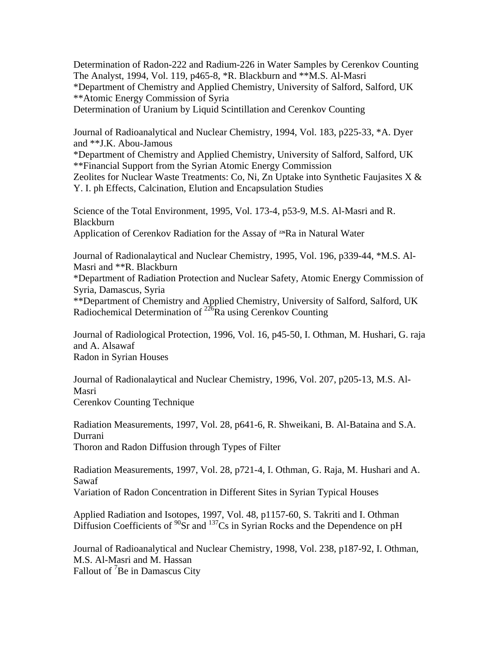Determination of Radon-222 and Radium-226 in Water Samples by Cerenkov Counting The Analyst, 1994, Vol. 119, p465-8, \*R. Blackburn and \*\*M.S. Al-Masri \*Department of Chemistry and Applied Chemistry, University of Salford, Salford, UK \*\*Atomic Energy Commission of Syria

Determination of Uranium by Liquid Scintillation and Cerenkov Counting

Journal of Radioanalytical and Nuclear Chemistry, 1994, Vol. 183, p225-33, \*A. Dyer and \*\*J.K. Abou-Jamous

\*Department of Chemistry and Applied Chemistry, University of Salford, Salford, UK \*\*Financial Support from the Syrian Atomic Energy Commission

Zeolites for Nuclear Waste Treatments: Co, Ni, Zn Uptake into Synthetic Faujasites  $X \&$ Y. I. ph Effects, Calcination, Elution and Encapsulation Studies

Science of the Total Environment, 1995, Vol. 173-4, p53-9, M.S. Al-Masri and R. Blackburn Application of Cerenkov Radiation for the Assay of **226**Ra in Natural Water

Journal of Radionalaytical and Nuclear Chemistry, 1995, Vol. 196, p339-44, \*M.S. Al-Masri and \*\*R. Blackburn

\*Department of Radiation Protection and Nuclear Safety, Atomic Energy Commission of Syria, Damascus, Syria

\*\*Department of Chemistry and Applied Chemistry, University of Salford, Salford, UK Radiochemical Determination of <sup>226</sup>Ra using Cerenkov Counting

Journal of Radiological Protection, 1996, Vol. 16, p45-50, I. Othman, M. Hushari, G. raja and A. Alsawaf Radon in Syrian Houses

Journal of Radionalaytical and Nuclear Chemistry, 1996, Vol. 207, p205-13, M.S. Al-Masri Cerenkov Counting Technique

Radiation Measurements, 1997, Vol. 28, p641-6, R. Shweikani, B. Al-Bataina and S.A. Durrani Thoron and Radon Diffusion through Types of Filter

Radiation Measurements, 1997, Vol. 28, p721-4, I. Othman, G. Raja, M. Hushari and A. Sawaf

Variation of Radon Concentration in Different Sites in Syrian Typical Houses

Applied Radiation and Isotopes, 1997, Vol. 48, p1157-60, S. Takriti and I. Othman Diffusion Coefficients of  ${}^{90}Sr$  and  ${}^{137}Cs$  in Syrian Rocks and the Dependence on pH

Journal of Radioanalytical and Nuclear Chemistry, 1998, Vol. 238, p187-92, I. Othman, M.S. Al-Masri and M. Hassan Fallout of <sup>7</sup>Be in Damascus City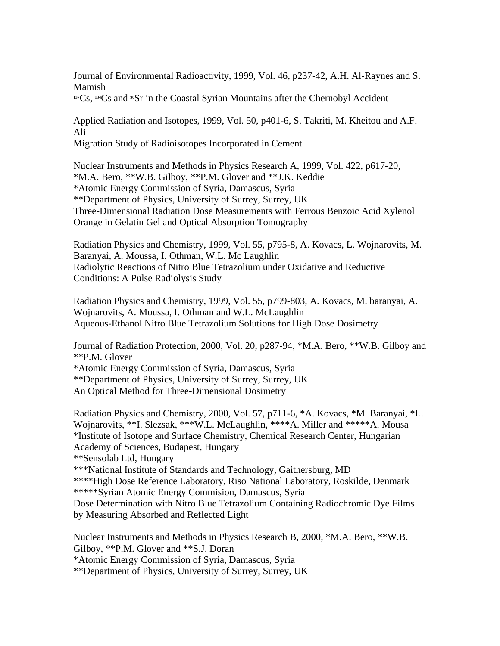Journal of Environmental Radioactivity, 1999, Vol. 46, p237-42, A.H. Al-Raynes and S. Mamish

**<sup>137</sup>**Cs, **134**Cs and **90**Sr in the Coastal Syrian Mountains after the Chernobyl Accident

Applied Radiation and Isotopes, 1999, Vol. 50, p401-6, S. Takriti, M. Kheitou and A.F. Ali

Migration Study of Radioisotopes Incorporated in Cement

Nuclear Instruments and Methods in Physics Research A, 1999, Vol. 422, p617-20, \*M.A. Bero, \*\*W.B. Gilboy, \*\*P.M. Glover and \*\*J.K. Keddie \*Atomic Energy Commission of Syria, Damascus, Syria \*\*Department of Physics, University of Surrey, Surrey, UK Three-Dimensional Radiation Dose Measurements with Ferrous Benzoic Acid Xylenol Orange in Gelatin Gel and Optical Absorption Tomography

Radiation Physics and Chemistry, 1999, Vol. 55, p795-8, A. Kovacs, L. Wojnarovits, M. Baranyai, A. Moussa, I. Othman, W.L. Mc Laughlin Radiolytic Reactions of Nitro Blue Tetrazolium under Oxidative and Reductive Conditions: A Pulse Radiolysis Study

Radiation Physics and Chemistry, 1999, Vol. 55, p799-803, A. Kovacs, M. baranyai, A. Wojnarovits, A. Moussa, I. Othman and W.L. McLaughlin Aqueous-Ethanol Nitro Blue Tetrazolium Solutions for High Dose Dosimetry

Journal of Radiation Protection, 2000, Vol. 20, p287-94, \*M.A. Bero, \*\*W.B. Gilboy and \*\*P.M. Glover

\*Atomic Energy Commission of Syria, Damascus, Syria

\*\*Department of Physics, University of Surrey, Surrey, UK

An Optical Method for Three-Dimensional Dosimetry

Radiation Physics and Chemistry, 2000, Vol. 57, p711-6, \*A. Kovacs, \*M. Baranyai, \*L. Wojnarovits, \*\*I. Slezsak, \*\*\*W.L. McLaughlin, \*\*\*\*A. Miller and \*\*\*\*\*A. Mousa \*Institute of Isotope and Surface Chemistry, Chemical Research Center, Hungarian Academy of Sciences, Budapest, Hungary \*\*Sensolab Ltd, Hungary \*\*\*National Institute of Standards and Technology, Gaithersburg, MD \*\*\*\*High Dose Reference Laboratory, Riso National Laboratory, Roskilde, Denmark \*\*\*\*\*Syrian Atomic Energy Commision, Damascus, Syria Dose Determination with Nitro Blue Tetrazolium Containing Radiochromic Dye Films by Measuring Absorbed and Reflected Light

Nuclear Instruments and Methods in Physics Research B, 2000, \*M.A. Bero, \*\*W.B. Gilboy, \*\*P.M. Glover and \*\*S.J. Doran \*Atomic Energy Commission of Syria, Damascus, Syria \*\*Department of Physics, University of Surrey, Surrey, UK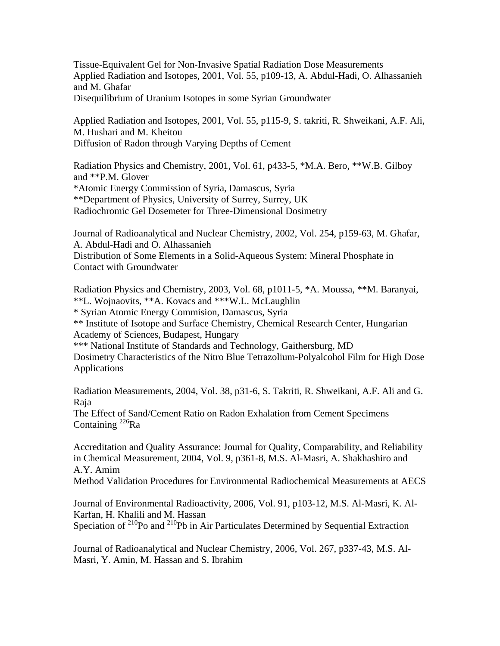Tissue-Equivalent Gel for Non-Invasive Spatial Radiation Dose Measurements Applied Radiation and Isotopes, 2001, Vol. 55, p109-13, A. Abdul-Hadi, O. Alhassanieh and M. Ghafar Disequilibrium of Uranium Isotopes in some Syrian Groundwater

Applied Radiation and Isotopes, 2001, Vol. 55, p115-9, S. takriti, R. Shweikani, A.F. Ali, M. Hushari and M. Kheitou Diffusion of Radon through Varying Depths of Cement

Radiation Physics and Chemistry, 2001, Vol. 61, p433-5, \*M.A. Bero, \*\*W.B. Gilboy and \*\*P.M. Glover \*Atomic Energy Commission of Syria, Damascus, Syria \*\*Department of Physics, University of Surrey, Surrey, UK Radiochromic Gel Dosemeter for Three-Dimensional Dosimetry

Journal of Radioanalytical and Nuclear Chemistry, 2002, Vol. 254, p159-63, M. Ghafar, A. Abdul-Hadi and O. Alhassanieh Distribution of Some Elements in a Solid-Aqueous System: Mineral Phosphate in Contact with Groundwater

Radiation Physics and Chemistry, 2003, Vol. 68, p1011-5, \*A. Moussa, \*\*M. Baranyai, \*\*L. Wojnaovits, \*\*A. Kovacs and \*\*\*W.L. McLaughlin \* Syrian Atomic Energy Commision, Damascus, Syria \*\* Institute of Isotope and Surface Chemistry, Chemical Research Center, Hungarian Academy of Sciences, Budapest, Hungary \*\*\* National Institute of Standards and Technology, Gaithersburg, MD Dosimetry Characteristics of the Nitro Blue Tetrazolium-Polyalcohol Film for High Dose Applications

Radiation Measurements, 2004, Vol. 38, p31-6, S. Takriti, R. Shweikani, A.F. Ali and G. Raja

The Effect of Sand/Cement Ratio on Radon Exhalation from Cement Specimens Containing  $^{226}$ Ra

Accreditation and Quality Assurance: Journal for Quality, Comparability, and Reliability in Chemical Measurement, 2004, Vol. 9, p361-8, M.S. Al-Masri, A. Shakhashiro and A.Y. Amim

Method Validation Procedures for Environmental Radiochemical Measurements at AECS

Journal of Environmental Radioactivity, 2006, Vol. 91, p103-12, M.S. Al-Masri, K. Al-Karfan, H. Khalili and M. Hassan

Speciation of  $^{210}$ Po and  $^{210}$ Pb in Air Particulates Determined by Sequential Extraction

Journal of Radioanalytical and Nuclear Chemistry, 2006, Vol. 267, p337-43, M.S. Al-Masri, Y. Amin, M. Hassan and S. Ibrahim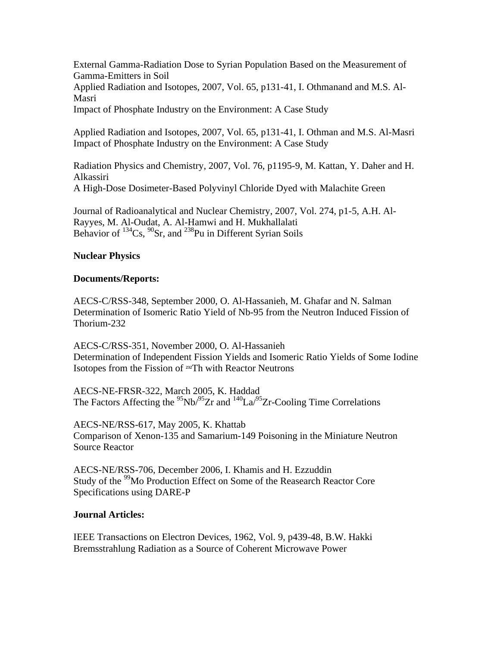External Gamma-Radiation Dose to Syrian Population Based on the Measurement of Gamma-Emitters in Soil Applied Radiation and Isotopes, 2007, Vol. 65, p131-41, I. Othmanand and M.S. Al-Masri Impact of Phosphate Industry on the Environment: A Case Study

Applied Radiation and Isotopes, 2007, Vol. 65, p131-41, I. Othman and M.S. Al-Masri Impact of Phosphate Industry on the Environment: A Case Study

Radiation Physics and Chemistry, 2007, Vol. 76, p1195-9, M. Kattan, Y. Daher and H. Alkassiri A High-Dose Dosimeter-Based Polyvinyl Chloride Dyed with Malachite Green

Journal of Radioanalytical and Nuclear Chemistry, 2007, Vol. 274, p1-5, A.H. Al-Rayyes, M. Al-Oudat, A. Al-Hamwi and H. Mukhallalati Behavior of  $^{134}Cs$ ,  $^{90}Sr$ , and  $^{238}Pu$  in Different Syrian Soils

# **Nuclear Physics**

# **Documents/Reports:**

AECS-C/RSS-348, September 2000, O. Al-Hassanieh, M. Ghafar and N. Salman Determination of Isomeric Ratio Yield of Nb-95 from the Neutron Induced Fission of Thorium-232

AECS-C/RSS-351, November 2000, O. Al-Hassanieh Determination of Independent Fission Yields and Isomeric Ratio Yields of Some Iodine Isotopes from the Fission of **232**Th with Reactor Neutrons

AECS-NE-FRSR-322, March 2005, K. Haddad The Factors Affecting the  $95$ Nb/ $95$ Zr and  $140$ La/ $95$ Zr-Cooling Time Correlations

AECS-NE/RSS-617, May 2005, K. Khattab Comparison of Xenon-135 and Samarium-149 Poisoning in the Miniature Neutron Source Reactor

AECS-NE/RSS-706, December 2006, I. Khamis and H. Ezzuddin Study of the <sup>99</sup>Mo Production Effect on Some of the Reasearch Reactor Core Specifications using DARE-P

### **Journal Articles:**

IEEE Transactions on Electron Devices, 1962, Vol. 9, p439-48, B.W. Hakki Bremsstrahlung Radiation as a Source of Coherent Microwave Power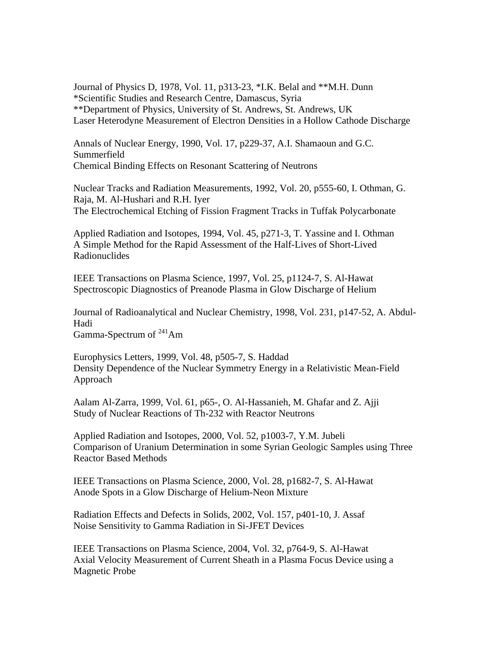Journal of Physics D, 1978, Vol. 11, p313-23, \*I.K. Belal and \*\*M.H. Dunn \*Scientific Studies and Research Centre, Damascus, Syria \*\*Department of Physics, University of St. Andrews, St. Andrews, UK Laser Heterodyne Measurement of Electron Densities in a Hollow Cathode Discharge

Annals of Nuclear Energy, 1990, Vol. 17, p229-37, A.I. Shamaoun and G.C. Summerfield Chemical Binding Effects on Resonant Scattering of Neutrons

Nuclear Tracks and Radiation Measurements, 1992, Vol. 20, p555-60, I. Othman, G. Raja, M. Al-Hushari and R.H. Iyer The Electrochemical Etching of Fission Fragment Tracks in Tuffak Polycarbonate

Applied Radiation and Isotopes, 1994, Vol. 45, p271-3, T. Yassine and I. Othman A Simple Method for the Rapid Assessment of the Half-Lives of Short-Lived Radionuclides

IEEE Transactions on Plasma Science, 1997, Vol. 25, p1124-7, S. Al-Hawat Spectroscopic Diagnostics of Preanode Plasma in Glow Discharge of Helium

Journal of Radioanalytical and Nuclear Chemistry, 1998, Vol. 231, p147-52, A. Abdul-Hadi Gamma-Spectrum of 241Am

Europhysics Letters, 1999, Vol. 48, p505-7, S. Haddad Density Dependence of the Nuclear Symmetry Energy in a Relativistic Mean-Field Approach

Aalam Al-Zarra, 1999, Vol. 61, p65-, O. Al-Hassanieh, M. Ghafar and Z. Ajji Study of Nuclear Reactions of Th-232 with Reactor Neutrons

Applied Radiation and Isotopes, 2000, Vol. 52, p1003-7, Y.M. Jubeli Comparison of Uranium Determination in some Syrian Geologic Samples using Three Reactor Based Methods

IEEE Transactions on Plasma Science, 2000, Vol. 28, p1682-7, S. Al-Hawat Anode Spots in a Glow Discharge of Helium-Neon Mixture

Radiation Effects and Defects in Solids, 2002, Vol. 157, p401-10, J. Assaf Noise Sensitivity to Gamma Radiation in Si-JFET Devices

IEEE Transactions on Plasma Science, 2004, Vol. 32, p764-9, S. Al-Hawat Axial Velocity Measurement of Current Sheath in a Plasma Focus Device using a Magnetic Probe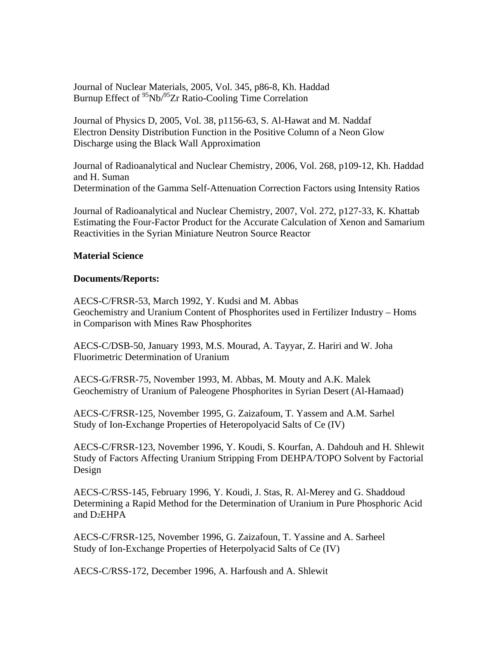Journal of Nuclear Materials, 2005, Vol. 345, p86-8, Kh. Haddad Burnup Effect of  $\frac{95}{10}$ Nb/ $\frac{95}{2}$ r Ratio-Cooling Time Correlation

Journal of Physics D, 2005, Vol. 38, p1156-63, S. Al-Hawat and M. Naddaf Electron Density Distribution Function in the Positive Column of a Neon Glow Discharge using the Black Wall Approximation

Journal of Radioanalytical and Nuclear Chemistry, 2006, Vol. 268, p109-12, Kh. Haddad and H. Suman Determination of the Gamma Self-Attenuation Correction Factors using Intensity Ratios

Journal of Radioanalytical and Nuclear Chemistry, 2007, Vol. 272, p127-33, K. Khattab Estimating the Four-Factor Product for the Accurate Calculation of Xenon and Samarium Reactivities in the Syrian Miniature Neutron Source Reactor

### **Material Science**

#### **Documents/Reports:**

AECS-C/FRSR-53, March 1992, Y. Kudsi and M. Abbas Geochemistry and Uranium Content of Phosphorites used in Fertilizer Industry – Homs in Comparison with Mines Raw Phosphorites

AECS-C/DSB-50, January 1993, M.S. Mourad, A. Tayyar, Z. Hariri and W. Joha Fluorimetric Determination of Uranium

AECS-G/FRSR-75, November 1993, M. Abbas, M. Mouty and A.K. Malek Geochemistry of Uranium of Paleogene Phosphorites in Syrian Desert (Al-Hamaad)

AECS-C/FRSR-125, November 1995, G. Zaizafoum, T. Yassem and A.M. Sarhel Study of Ion-Exchange Properties of Heteropolyacid Salts of Ce (IV)

AECS-C/FRSR-123, November 1996, Y. Koudi, S. Kourfan, A. Dahdouh and H. Shlewit Study of Factors Affecting Uranium Stripping From DEHPA/TOPO Solvent by Factorial Design

AECS-C/RSS-145, February 1996, Y. Koudi, J. Stas, R. Al-Merey and G. Shaddoud Determining a Rapid Method for the Determination of Uranium in Pure Phosphoric Acid and D2EHPA

AECS-C/FRSR-125, November 1996, G. Zaizafoun, T. Yassine and A. Sarheel Study of Ion-Exchange Properties of Heterpolyacid Salts of Ce (IV)

AECS-C/RSS-172, December 1996, A. Harfoush and A. Shlewit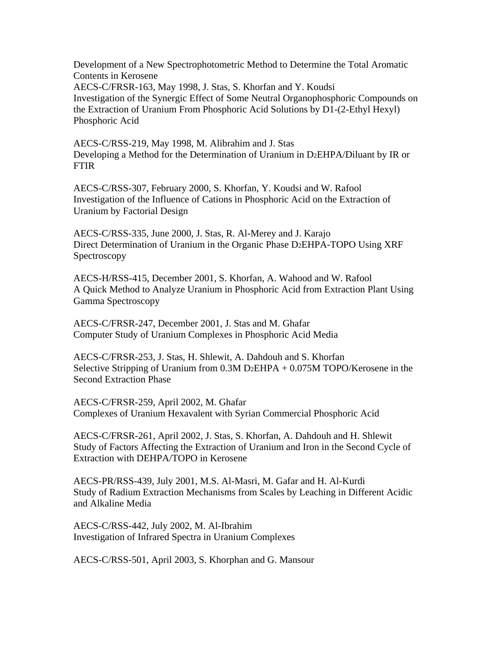Development of a New Spectrophotometric Method to Determine the Total Aromatic Contents in Kerosene AECS-C/FRSR-163, May 1998, J. Stas, S. Khorfan and Y. Koudsi Investigation of the Synergic Effect of Some Neutral Organophosphoric Compounds on the Extraction of Uranium From Phosphoric Acid Solutions by D1-(2-Ethyl Hexyl) Phosphoric Acid

AECS-C/RSS-219, May 1998, M. Alibrahim and J. Stas Developing a Method for the Determination of Uranium in D2EHPA/Diluant by IR or FTIR

AECS-C/RSS-307, February 2000, S. Khorfan, Y. Koudsi and W. Rafool Investigation of the Influence of Cations in Phosphoric Acid on the Extraction of Uranium by Factorial Design

AECS-C/RSS-335, June 2000, J. Stas, R. Al-Merey and J. Karajo Direct Determination of Uranium in the Organic Phase D2EHPA-TOPO Using XRF Spectroscopy

AECS-H/RSS-415, December 2001, S. Khorfan, A. Wahood and W. Rafool A Quick Method to Analyze Uranium in Phosphoric Acid from Extraction Plant Using Gamma Spectroscopy

AECS-C/FRSR-247, December 2001, J. Stas and M. Ghafar Computer Study of Uranium Complexes in Phosphoric Acid Media

AECS-C/FRSR-253, J. Stas, H. Shlewit, A. Dahdouh and S. Khorfan Selective Stripping of Uranium from  $0.3M$  D<sub>2</sub>EHPA +  $0.075M$  TOPO/Kerosene in the Second Extraction Phase

AECS-C/FRSR-259, April 2002, M. Ghafar Complexes of Uranium Hexavalent with Syrian Commercial Phosphoric Acid

AECS-C/FRSR-261, April 2002, J. Stas, S. Khorfan, A. Dahdouh and H. Shlewit Study of Factors Affecting the Extraction of Uranium and Iron in the Second Cycle of Extraction with DEHPA/TOPO in Kerosene

AECS-PR/RSS-439, July 2001, M.S. Al-Masri, M. Gafar and H. Al-Kurdi Study of Radium Extraction Mechanisms from Scales by Leaching in Different Acidic and Alkaline Media

AECS-C/RSS-442, July 2002, M. Al-Ibrahim Investigation of Infrared Spectra in Uranium Complexes

AECS-C/RSS-501, April 2003, S. Khorphan and G. Mansour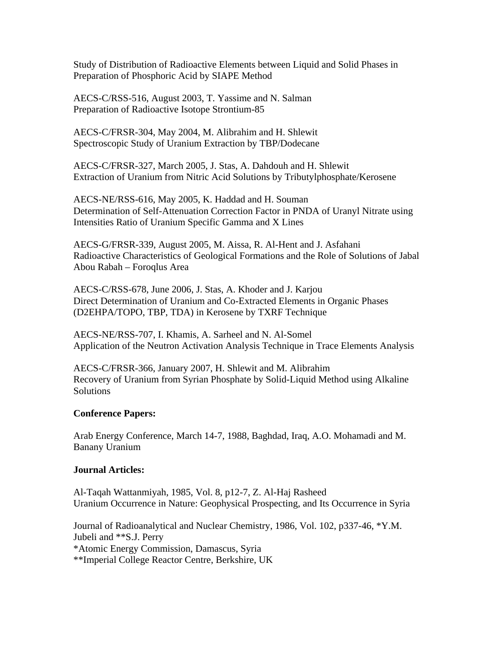Study of Distribution of Radioactive Elements between Liquid and Solid Phases in Preparation of Phosphoric Acid by SIAPE Method

AECS-C/RSS-516, August 2003, T. Yassime and N. Salman Preparation of Radioactive Isotope Strontium-85

AECS-C/FRSR-304, May 2004, M. Alibrahim and H. Shlewit Spectroscopic Study of Uranium Extraction by TBP/Dodecane

AECS-C/FRSR-327, March 2005, J. Stas, A. Dahdouh and H. Shlewit Extraction of Uranium from Nitric Acid Solutions by Tributylphosphate/Kerosene

AECS-NE/RSS-616, May 2005, K. Haddad and H. Souman Determination of Self-Attenuation Correction Factor in PNDA of Uranyl Nitrate using Intensities Ratio of Uranium Specific Gamma and X Lines

AECS-G/FRSR-339, August 2005, M. Aissa, R. Al-Hent and J. Asfahani Radioactive Characteristics of Geological Formations and the Role of Solutions of Jabal Abou Rabah – Foroqlus Area

AECS-C/RSS-678, June 2006, J. Stas, A. Khoder and J. Karjou Direct Determination of Uranium and Co-Extracted Elements in Organic Phases (D2EHPA/TOPO, TBP, TDA) in Kerosene by TXRF Technique

AECS-NE/RSS-707, I. Khamis, A. Sarheel and N. Al-Somel Application of the Neutron Activation Analysis Technique in Trace Elements Analysis

AECS-C/FRSR-366, January 2007, H. Shlewit and M. Alibrahim Recovery of Uranium from Syrian Phosphate by Solid-Liquid Method using Alkaline **Solutions** 

### **Conference Papers:**

Arab Energy Conference, March 14-7, 1988, Baghdad, Iraq, A.O. Mohamadi and M. Banany Uranium

### **Journal Articles:**

Al-Taqah Wattanmiyah, 1985, Vol. 8, p12-7, Z. Al-Haj Rasheed Uranium Occurrence in Nature: Geophysical Prospecting, and Its Occurrence in Syria

Journal of Radioanalytical and Nuclear Chemistry, 1986, Vol. 102, p337-46, \*Y.M. Jubeli and \*\*S.J. Perry \*Atomic Energy Commission, Damascus, Syria \*\*Imperial College Reactor Centre, Berkshire, UK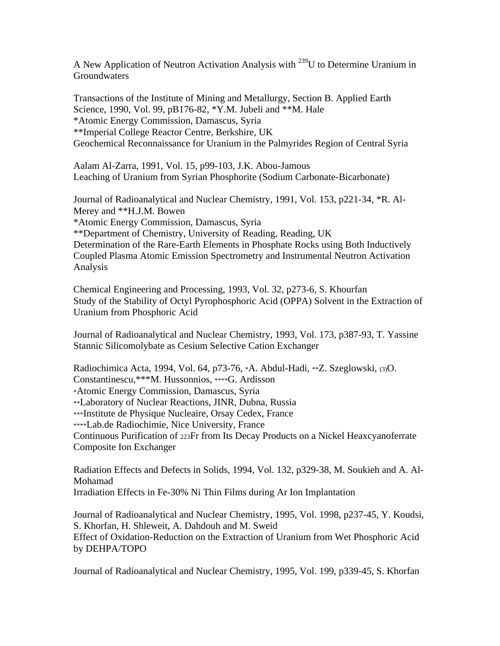A New Application of Neutron Activation Analysis with 239U to Determine Uranium in **Groundwaters** 

Transactions of the Institute of Mining and Metallurgy, Section B. Applied Earth Science, 1990, Vol. 99, pB176-82, \*Y.M. Jubeli and \*\*M. Hale \*Atomic Energy Commission, Damascus, Syria \*\*Imperial College Reactor Centre, Berkshire, UK Geochemical Reconnaissance for Uranium in the Palmyrides Region of Central Syria

Aalam Al-Zarra, 1991, Vol. 15, p99-103, J.K. Abou-Jamous Leaching of Uranium from Syrian Phosphorite (Sodium Carbonate-Bicarbonate)

Journal of Radioanalytical and Nuclear Chemistry, 1991, Vol. 153, p221-34, \*R. Al-Merey and \*\*H.J.M. Bowen

\*Atomic Energy Commission, Damascus, Syria

\*\*Department of Chemistry, University of Reading, Reading, UK Determination of the Rare-Earth Elements in Phosphate Rocks using Both Inductively Coupled Plasma Atomic Emission Spectrometry and Instrumental Neutron Activation Analysis

Chemical Engineering and Processing, 1993, Vol. 32, p273-6, S. Khourfan Study of the Stability of Octyl Pyrophosphoric Acid (OPPA) Solvent in the Extraction of Uranium from Phosphoric Acid

Journal of Radioanalytical and Nuclear Chemistry, 1993, Vol. 173, p387-93, T. Yassine Stannic Silicomolybate as Cesium Selective Cation Exchanger

Radiochimica Acta, 1994, Vol. 64, p73-76, \*A. Abdul-Hadi, \*\*Z. Szeglowski, (3)O. Constantinescu,\*\*\*M. Hussonnios, \*\*\*\*G. Ardisson \*Atomic Energy Commission, Damascus, Syria \*\*Laboratory of Nuclear Reactions, JINR, Dubna, Russia \*\*\*Institute de Physique Nucleaire, Orsay Cedex, France \*\*\*\*Lab.de Radiochimie, Nice University, France Continuous Purification of 223Fr from Its Decay Products on a Nickel Heaxcyanoferrate Composite Ion Exchanger

Radiation Effects and Defects in Solids, 1994, Vol. 132, p329-38, M. Soukieh and A. Al-Mohamad

Irradiation Effects in Fe-30% Ni Thin Films during Ar Ion Implantation

Journal of Radioanalytical and Nuclear Chemistry, 1995, Vol. 1998, p237-45, Y. Koudsi, S. Khorfan, H. Shleweit, A. Dahdouh and M. Sweid Effect of Oxidation-Reduction on the Extraction of Uranium from Wet Phosphoric Acid by DEHPA/TOPO

Journal of Radioanalytical and Nuclear Chemistry, 1995, Vol. 199, p339-45, S. Khorfan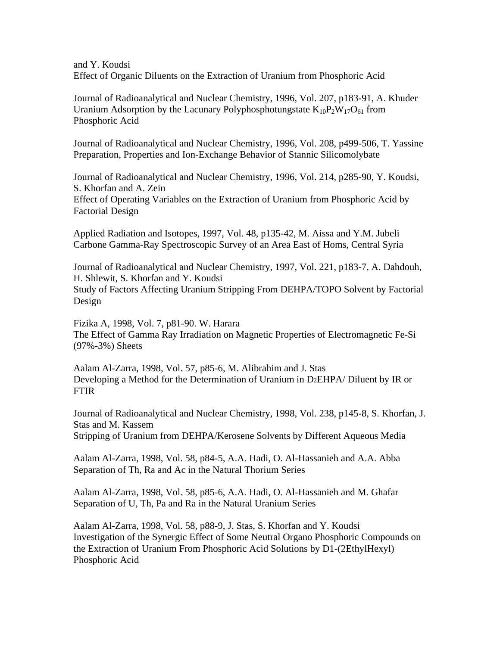and Y. Koudsi Effect of Organic Diluents on the Extraction of Uranium from Phosphoric Acid

Journal of Radioanalytical and Nuclear Chemistry, 1996, Vol. 207, p183-91, A. Khuder Uranium Adsorption by the Lacunary Polyphosphotungstate  $K_{10}P_2W_{17}O_{61}$  from Phosphoric Acid

Journal of Radioanalytical and Nuclear Chemistry, 1996, Vol. 208, p499-506, T. Yassine Preparation, Properties and Ion-Exchange Behavior of Stannic Silicomolybate

Journal of Radioanalytical and Nuclear Chemistry, 1996, Vol. 214, p285-90, Y. Koudsi, S. Khorfan and A. Zein

Effect of Operating Variables on the Extraction of Uranium from Phosphoric Acid by Factorial Design

Applied Radiation and Isotopes, 1997, Vol. 48, p135-42, M. Aissa and Y.M. Jubeli Carbone Gamma-Ray Spectroscopic Survey of an Area East of Homs, Central Syria

Journal of Radioanalytical and Nuclear Chemistry, 1997, Vol. 221, p183-7, A. Dahdouh, H. Shlewit, S. Khorfan and Y. Koudsi Study of Factors Affecting Uranium Stripping From DEHPA/TOPO Solvent by Factorial Design

Fizika A, 1998, Vol. 7, p81-90. W. Harara The Effect of Gamma Ray Irradiation on Magnetic Properties of Electromagnetic Fe-Si (97%-3%) Sheets

Aalam Al-Zarra, 1998, Vol. 57, p85-6, M. Alibrahim and J. Stas Developing a Method for the Determination of Uranium in D2EHPA/ Diluent by IR or FTIR

Journal of Radioanalytical and Nuclear Chemistry, 1998, Vol. 238, p145-8, S. Khorfan, J. Stas and M. Kassem Stripping of Uranium from DEHPA/Kerosene Solvents by Different Aqueous Media

Aalam Al-Zarra, 1998, Vol. 58, p84-5, A.A. Hadi, O. Al-Hassanieh and A.A. Abba Separation of Th, Ra and Ac in the Natural Thorium Series

Aalam Al-Zarra, 1998, Vol. 58, p85-6, A.A. Hadi, O. Al-Hassanieh and M. Ghafar Separation of U, Th, Pa and Ra in the Natural Uranium Series

Aalam Al-Zarra, 1998, Vol. 58, p88-9, J. Stas, S. Khorfan and Y. Koudsi Investigation of the Synergic Effect of Some Neutral Organo Phosphoric Compounds on the Extraction of Uranium From Phosphoric Acid Solutions by D1-(2EthylHexyl) Phosphoric Acid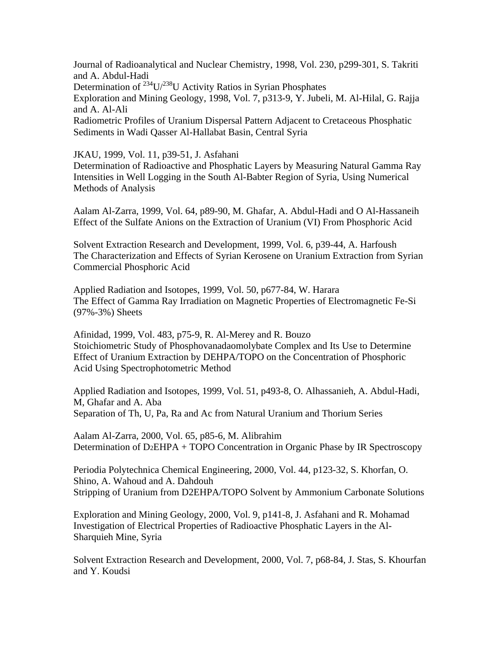Journal of Radioanalytical and Nuclear Chemistry, 1998, Vol. 230, p299-301, S. Takriti and A. Abdul-Hadi

Determination of  $^{234}U^{238}U$  Activity Ratios in Syrian Phosphates

Exploration and Mining Geology, 1998, Vol. 7, p313-9, Y. Jubeli, M. Al-Hilal, G. Rajja and A. Al-Ali

Radiometric Profiles of Uranium Dispersal Pattern Adjacent to Cretaceous Phosphatic Sediments in Wadi Qasser Al-Hallabat Basin, Central Syria

JKAU, 1999, Vol. 11, p39-51, J. Asfahani

Determination of Radioactive and Phosphatic Layers by Measuring Natural Gamma Ray Intensities in Well Logging in the South Al-Babter Region of Syria, Using Numerical Methods of Analysis

Aalam Al-Zarra, 1999, Vol. 64, p89-90, M. Ghafar, A. Abdul-Hadi and O Al-Hassaneih Effect of the Sulfate Anions on the Extraction of Uranium (VI) From Phosphoric Acid

Solvent Extraction Research and Development, 1999, Vol. 6, p39-44, A. Harfoush The Characterization and Effects of Syrian Kerosene on Uranium Extraction from Syrian Commercial Phosphoric Acid

Applied Radiation and Isotopes, 1999, Vol. 50, p677-84, W. Harara The Effect of Gamma Ray Irradiation on Magnetic Properties of Electromagnetic Fe-Si (97%-3%) Sheets

Afinidad, 1999, Vol. 483, p75-9, R. Al-Merey and R. Bouzo Stoichiometric Study of Phosphovanadaomolybate Complex and Its Use to Determine Effect of Uranium Extraction by DEHPA/TOPO on the Concentration of Phosphoric Acid Using Spectrophotometric Method

Applied Radiation and Isotopes, 1999, Vol. 51, p493-8, O. Alhassanieh, A. Abdul-Hadi, M, Ghafar and A. Aba Separation of Th, U, Pa, Ra and Ac from Natural Uranium and Thorium Series

Aalam Al-Zarra, 2000, Vol. 65, p85-6, M. Alibrahim Determination of D2EHPA + TOPO Concentration in Organic Phase by IR Spectroscopy

Periodia Polytechnica Chemical Engineering, 2000, Vol. 44, p123-32, S. Khorfan, O. Shino, A. Wahoud and A. Dahdouh Stripping of Uranium from D2EHPA/TOPO Solvent by Ammonium Carbonate Solutions

Exploration and Mining Geology, 2000, Vol. 9, p141-8, J. Asfahani and R. Mohamad Investigation of Electrical Properties of Radioactive Phosphatic Layers in the Al-Sharquieh Mine, Syria

Solvent Extraction Research and Development, 2000, Vol. 7, p68-84, J. Stas, S. Khourfan and Y. Koudsi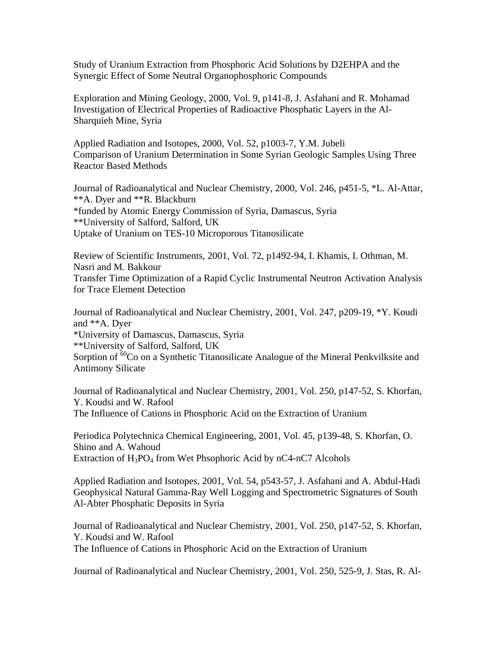Study of Uranium Extraction from Phosphoric Acid Solutions by D2EHPA and the Synergic Effect of Some Neutral Organophosphoric Compounds

Exploration and Mining Geology, 2000, Vol. 9, p141-8, J. Asfahani and R. Mohamad Investigation of Electrical Properties of Radioactive Phosphatic Layers in the Al-Sharquieh Mine, Syria

Applied Radiation and Isotopes, 2000, Vol. 52, p1003-7, Y.M. Jubeli Comparison of Uranium Determination in Some Syrian Geologic Samples Using Three Reactor Based Methods

Journal of Radioanalytical and Nuclear Chemistry, 2000, Vol. 246, p451-5, \*L. Al-Attar, \*\*A. Dyer and \*\*R. Blackburn \*funded by Atomic Energy Commission of Syria, Damascus, Syria \*\*University of Salford, Salford, UK Uptake of Uranium on TES-10 Microporous Titanosilicate

Review of Scientific Instruments, 2001, Vol. 72, p1492-94, I. Khamis, I. Othman, M. Nasri and M. Bakkour Transfer Time Optimization of a Rapid Cyclic Instrumental Neutron Activation Analysis for Trace Element Detection

Journal of Radioanalytical and Nuclear Chemistry, 2001, Vol. 247, p209-19, \*Y. Koudi and \*\*A. Dyer \*University of Damascus, Damascus, Syria \*\*University of Salford, Salford, UK Sorption of <sup>60</sup>Co on a Synthetic Titanosilicate Analogue of the Mineral Penkvilksite and Antimony Silicate

Journal of Radioanalytical and Nuclear Chemistry, 2001, Vol. 250, p147-52, S. Khorfan, Y. Koudsi and W. Rafool The Influence of Cations in Phosphoric Acid on the Extraction of Uranium

Periodica Polytechnica Chemical Engineering, 2001, Vol. 45, p139-48, S. Khorfan, O. Shino and A. Wahoud Extraction of  $H_3PO_4$  from Wet Phsophoric Acid by nC4-nC7 Alcohols

Applied Radiation and Isotopes, 2001, Vol. 54, p543-57, J. Asfahani and A. Abdul-Hadi Geophysical Natural Gamma-Ray Well Logging and Spectrometric Signatures of South Al-Abter Phosphatic Deposits in Syria

Journal of Radioanalytical and Nuclear Chemistry, 2001, Vol. 250, p147-52, S. Khorfan, Y. Koudsi and W. Rafool The Influence of Cations in Phosphoric Acid on the Extraction of Uranium

Journal of Radioanalytical and Nuclear Chemistry, 2001, Vol. 250, 525-9, J. Stas, R. Al-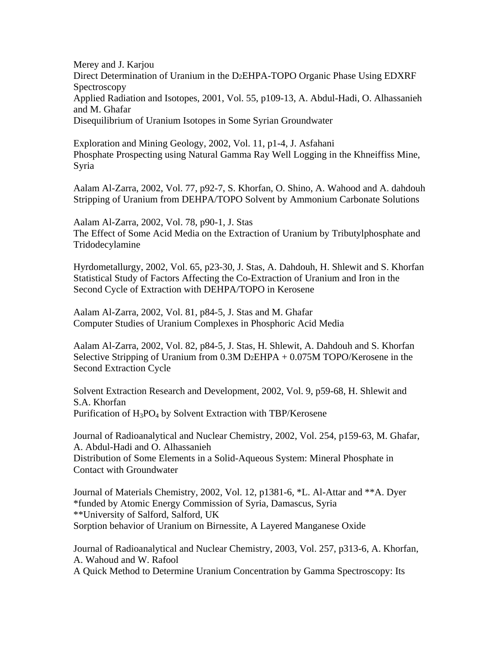Merey and J. Karjou Direct Determination of Uranium in the D2EHPA-TOPO Organic Phase Using EDXRF Spectroscopy Applied Radiation and Isotopes, 2001, Vol. 55, p109-13, A. Abdul-Hadi, O. Alhassanieh and M. Ghafar Disequilibrium of Uranium Isotopes in Some Syrian Groundwater

Exploration and Mining Geology, 2002, Vol. 11, p1-4, J. Asfahani Phosphate Prospecting using Natural Gamma Ray Well Logging in the Khneiffiss Mine, Syria

Aalam Al-Zarra, 2002, Vol. 77, p92-7, S. Khorfan, O. Shino, A. Wahood and A. dahdouh Stripping of Uranium from DEHPA/TOPO Solvent by Ammonium Carbonate Solutions

Aalam Al-Zarra, 2002, Vol. 78, p90-1, J. Stas The Effect of Some Acid Media on the Extraction of Uranium by Tributylphosphate and Tridodecylamine

Hyrdometallurgy, 2002, Vol. 65, p23-30, J. Stas, A. Dahdouh, H. Shlewit and S. Khorfan Statistical Study of Factors Affecting the Co-Extraction of Uranium and Iron in the Second Cycle of Extraction with DEHPA/TOPO in Kerosene

Aalam Al-Zarra, 2002, Vol. 81, p84-5, J. Stas and M. Ghafar Computer Studies of Uranium Complexes in Phosphoric Acid Media

Aalam Al-Zarra, 2002, Vol. 82, p84-5, J. Stas, H. Shlewit, A. Dahdouh and S. Khorfan Selective Stripping of Uranium from  $0.3M$  D<sub>2</sub>EHPA +  $0.075M$  TOPO/Kerosene in the Second Extraction Cycle

Solvent Extraction Research and Development, 2002, Vol. 9, p59-68, H. Shlewit and S.A. Khorfan Purification of  $H_3PO_4$  by Solvent Extraction with TBP/Kerosene

Journal of Radioanalytical and Nuclear Chemistry, 2002, Vol. 254, p159-63, M. Ghafar, A. Abdul-Hadi and O. Alhassanieh Distribution of Some Elements in a Solid-Aqueous System: Mineral Phosphate in Contact with Groundwater

Journal of Materials Chemistry, 2002, Vol. 12, p1381-6, \*L. Al-Attar and \*\*A. Dyer \*funded by Atomic Energy Commission of Syria, Damascus, Syria \*\*University of Salford, Salford, UK Sorption behavior of Uranium on Birnessite, A Layered Manganese Oxide

Journal of Radioanalytical and Nuclear Chemistry, 2003, Vol. 257, p313-6, A. Khorfan, A. Wahoud and W. Rafool A Quick Method to Determine Uranium Concentration by Gamma Spectroscopy: Its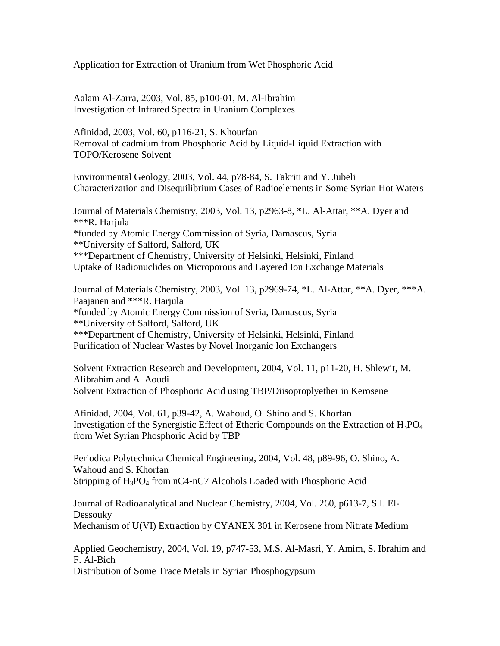Application for Extraction of Uranium from Wet Phosphoric Acid

Aalam Al-Zarra, 2003, Vol. 85, p100-01, M. Al-Ibrahim Investigation of Infrared Spectra in Uranium Complexes

Afinidad, 2003, Vol. 60, p116-21, S. Khourfan Removal of cadmium from Phosphoric Acid by Liquid-Liquid Extraction with TOPO/Kerosene Solvent

Environmental Geology, 2003, Vol. 44, p78-84, S. Takriti and Y. Jubeli Characterization and Disequilibrium Cases of Radioelements in Some Syrian Hot Waters

Journal of Materials Chemistry, 2003, Vol. 13, p2963-8, \*L. Al-Attar, \*\*A. Dyer and \*\*\*R. Harjula \*funded by Atomic Energy Commission of Syria, Damascus, Syria \*\*University of Salford, Salford, UK \*\*\*Department of Chemistry, University of Helsinki, Helsinki, Finland Uptake of Radionuclides on Microporous and Layered Ion Exchange Materials

Journal of Materials Chemistry, 2003, Vol. 13, p2969-74, \*L. Al-Attar, \*\*A. Dyer, \*\*\*A. Paajanen and \*\*\*R. Harjula \*funded by Atomic Energy Commission of Syria, Damascus, Syria \*\*University of Salford, Salford, UK \*\*\*Department of Chemistry, University of Helsinki, Helsinki, Finland Purification of Nuclear Wastes by Novel Inorganic Ion Exchangers

Solvent Extraction Research and Development, 2004, Vol. 11, p11-20, H. Shlewit, M. Alibrahim and A. Aoudi Solvent Extraction of Phosphoric Acid using TBP/Diisoproplyether in Kerosene

Afinidad, 2004, Vol. 61, p39-42, A. Wahoud, O. Shino and S. Khorfan Investigation of the Synergistic Effect of Etheric Compounds on the Extraction of H3PO4 from Wet Syrian Phosphoric Acid by TBP

Periodica Polytechnica Chemical Engineering, 2004, Vol. 48, p89-96, O. Shino, A. Wahoud and S. Khorfan Stripping of  $H_3PO_4$  from nC4-nC7 Alcohols Loaded with Phosphoric Acid

Journal of Radioanalytical and Nuclear Chemistry, 2004, Vol. 260, p613-7, S.I. El-Dessouky Mechanism of U(VI) Extraction by CYANEX 301 in Kerosene from Nitrate Medium

Applied Geochemistry, 2004, Vol. 19, p747-53, M.S. Al-Masri, Y. Amim, S. Ibrahim and F. Al-Bich

Distribution of Some Trace Metals in Syrian Phosphogypsum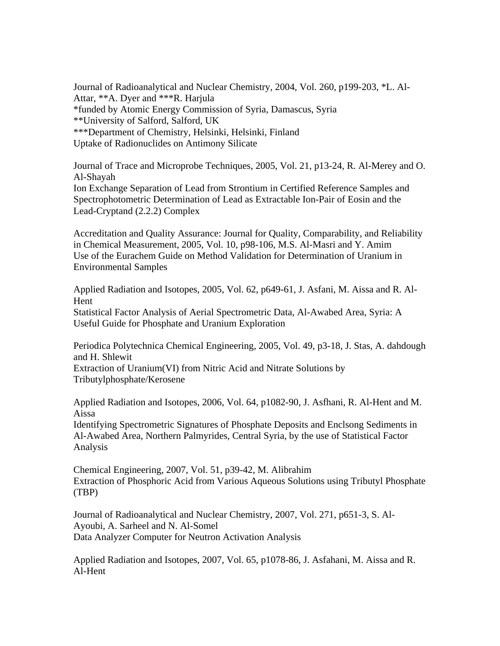Journal of Radioanalytical and Nuclear Chemistry, 2004, Vol. 260, p199-203, \*L. Al-Attar, \*\*A. Dyer and \*\*\*R. Harjula \*funded by Atomic Energy Commission of Syria, Damascus, Syria \*\*University of Salford, Salford, UK \*\*\*Department of Chemistry, Helsinki, Helsinki, Finland Uptake of Radionuclides on Antimony Silicate

Journal of Trace and Microprobe Techniques, 2005, Vol. 21, p13-24, R. Al-Merey and O. Al-Shayah

Ion Exchange Separation of Lead from Strontium in Certified Reference Samples and Spectrophotometric Determination of Lead as Extractable Ion-Pair of Eosin and the Lead-Cryptand (2.2.2) Complex

Accreditation and Quality Assurance: Journal for Quality, Comparability, and Reliability in Chemical Measurement, 2005, Vol. 10, p98-106, M.S. Al-Masri and Y. Amim Use of the Eurachem Guide on Method Validation for Determination of Uranium in Environmental Samples

Applied Radiation and Isotopes, 2005, Vol. 62, p649-61, J. Asfani, M. Aissa and R. Al-Hent

Statistical Factor Analysis of Aerial Spectrometric Data, Al-Awabed Area, Syria: A Useful Guide for Phosphate and Uranium Exploration

Periodica Polytechnica Chemical Engineering, 2005, Vol. 49, p3-18, J. Stas, A. dahdough and H. Shlewit

Extraction of Uranium(VI) from Nitric Acid and Nitrate Solutions by Tributylphosphate/Kerosene

Applied Radiation and Isotopes, 2006, Vol. 64, p1082-90, J. Asfhani, R. Al-Hent and M. Aissa

Identifying Spectrometric Signatures of Phosphate Deposits and Enclsong Sediments in Al-Awabed Area, Northern Palmyrides, Central Syria, by the use of Statistical Factor Analysis

Chemical Engineering, 2007, Vol. 51, p39-42, M. Alibrahim Extraction of Phosphoric Acid from Various Aqueous Solutions using Tributyl Phosphate (TBP)

Journal of Radioanalytical and Nuclear Chemistry, 2007, Vol. 271, p651-3, S. Al-Ayoubi, A. Sarheel and N. Al-Somel Data Analyzer Computer for Neutron Activation Analysis

Applied Radiation and Isotopes, 2007, Vol. 65, p1078-86, J. Asfahani, M. Aissa and R. Al-Hent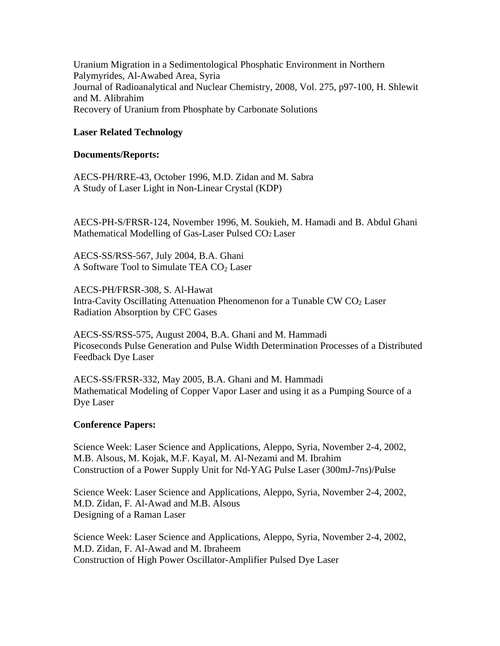Uranium Migration in a Sedimentological Phosphatic Environment in Northern Palymyrides, Al-Awabed Area, Syria Journal of Radioanalytical and Nuclear Chemistry, 2008, Vol. 275, p97-100, H. Shlewit and M. Alibrahim Recovery of Uranium from Phosphate by Carbonate Solutions

# **Laser Related Technology**

#### **Documents/Reports:**

AECS-PH/RRE-43, October 1996, M.D. Zidan and M. Sabra A Study of Laser Light in Non-Linear Crystal (KDP)

AECS-PH-S/FRSR-124, November 1996, M. Soukieh, M. Hamadi and B. Abdul Ghani Mathematical Modelling of Gas-Laser Pulsed CO2 Laser

AECS-SS/RSS-567, July 2004, B.A. Ghani A Software Tool to Simulate TEA  $CO<sub>2</sub>$  Laser

AECS-PH/FRSR-308, S. Al-Hawat Intra-Cavity Oscillating Attenuation Phenomenon for a Tunable CW  $CO<sub>2</sub>$  Laser Radiation Absorption by CFC Gases

AECS-SS/RSS-575, August 2004, B.A. Ghani and M. Hammadi Picoseconds Pulse Generation and Pulse Width Determination Processes of a Distributed Feedback Dye Laser

AECS-SS/FRSR-332, May 2005, B.A. Ghani and M. Hammadi Mathematical Modeling of Copper Vapor Laser and using it as a Pumping Source of a Dye Laser

### **Conference Papers:**

Science Week: Laser Science and Applications, Aleppo, Syria, November 2-4, 2002, M.B. Alsous, M. Kojak, M.F. Kayal, M. Al-Nezami and M. Ibrahim Construction of a Power Supply Unit for Nd-YAG Pulse Laser (300mJ-7ns)/Pulse

Science Week: Laser Science and Applications, Aleppo, Syria, November 2-4, 2002, M.D. Zidan, F. Al-Awad and M.B. Alsous Designing of a Raman Laser

Science Week: Laser Science and Applications, Aleppo, Syria, November 2-4, 2002, M.D. Zidan, F. Al-Awad and M. Ibraheem Construction of High Power Oscillator-Amplifier Pulsed Dye Laser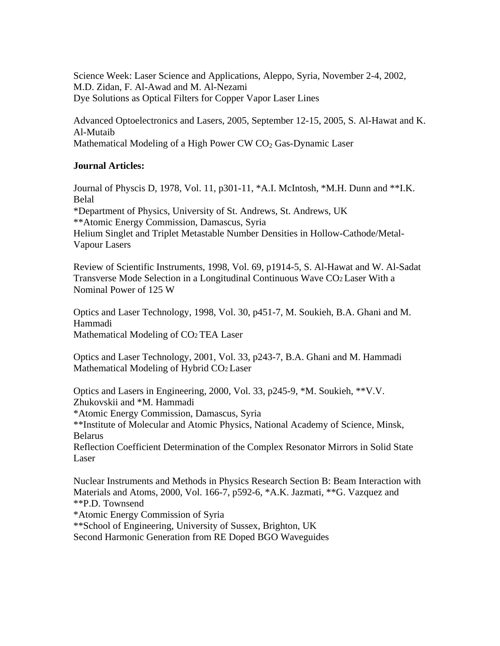Science Week: Laser Science and Applications, Aleppo, Syria, November 2-4, 2002, M.D. Zidan, F. Al-Awad and M. Al-Nezami Dye Solutions as Optical Filters for Copper Vapor Laser Lines

Advanced Optoelectronics and Lasers, 2005, September 12-15, 2005, S. Al-Hawat and K. Al-Mutaib Mathematical Modeling of a High Power CW  $CO<sub>2</sub>$  Gas-Dynamic Laser

# **Journal Articles:**

Journal of Physcis D, 1978, Vol. 11, p301-11, \*A.I. McIntosh, \*M.H. Dunn and \*\*I.K. Belal \*Department of Physics, University of St. Andrews, St. Andrews, UK \*\*Atomic Energy Commission, Damascus, Syria Helium Singlet and Triplet Metastable Number Densities in Hollow-Cathode/Metal-Vapour Lasers

Review of Scientific Instruments, 1998, Vol. 69, p1914-5, S. Al-Hawat and W. Al-Sadat Transverse Mode Selection in a Longitudinal Continuous Wave CO2 Laser With a Nominal Power of 125 W

Optics and Laser Technology, 1998, Vol. 30, p451-7, M. Soukieh, B.A. Ghani and M. Hammadi Mathematical Modeling of CO<sub>2</sub> TEA Laser

Optics and Laser Technology, 2001, Vol. 33, p243-7, B.A. Ghani and M. Hammadi Mathematical Modeling of Hybrid CO2 Laser

Optics and Lasers in Engineering, 2000, Vol. 33, p245-9, \*M. Soukieh, \*\*V.V. Zhukovskii and \*M. Hammadi \*Atomic Energy Commission, Damascus, Syria \*\*Institute of Molecular and Atomic Physics, National Academy of Science, Minsk, Belarus Reflection Coefficient Determination of the Complex Resonator Mirrors in Solid State Laser

Nuclear Instruments and Methods in Physics Research Section B: Beam Interaction with Materials and Atoms, 2000, Vol. 166-7, p592-6, \*A.K. Jazmati, \*\*G. Vazquez and \*\*P.D. Townsend

\*Atomic Energy Commission of Syria

\*\*School of Engineering, University of Sussex, Brighton, UK

Second Harmonic Generation from RE Doped BGO Waveguides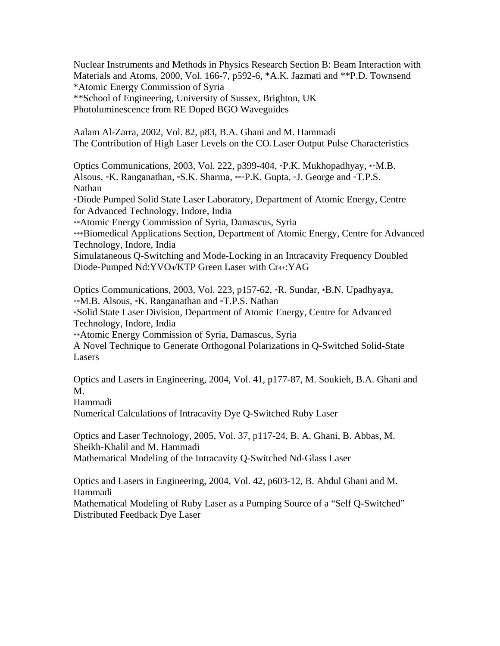Nuclear Instruments and Methods in Physics Research Section B: Beam Interaction with Materials and Atoms, 2000, Vol. 166-7, p592-6, \*A.K. Jazmati and \*\*P.D. Townsend \*Atomic Energy Commission of Syria \*\*School of Engineering, University of Sussex, Brighton, UK Photoluminescence from RE Doped BGO Waveguides

Aalam Al-Zarra, 2002, Vol. 82, p83, B.A. Ghani and M. Hammadi The Contribution of High Laser Levels on the CO<sub>2</sub> Laser Output Pulse Characteristics

Optics Communications, 2003, Vol. 222, p399-404, \*P.K. Mukhopadhyay, \*\*M.B. Alsous, \*K. Ranganathan, \*S.K. Sharma, \*\*\*P.K. Gupta, \*J. George and \*T.P.S. Nathan \*Diode Pumped Solid State Laser Laboratory, Department of Atomic Energy, Centre for Advanced Technology, Indore, India \*\*Atomic Energy Commission of Syria, Damascus, Syria \*\*\*Biomedical Applications Section, Department of Atomic Energy, Centre for Advanced Technology, Indore, India Simulataneous Q-Switching and Mode-Locking in an Intracavity Frequency Doubled Diode-Pumped Nd:YVO4/KTP Green Laser with Cr4+:YAG

Optics Communications, 2003, Vol. 223, p157-62, \*R. Sundar, \*B.N. Upadhyaya, \*\*M.B. Alsous, \*K. Ranganathan and \*T.P.S. Nathan \*Solid State Laser Division, Department of Atomic Energy, Centre for Advanced Technology, Indore, India \*\*Atomic Energy Commission of Syria, Damascus, Syria A Novel Technique to Generate Orthogonal Polarizations in Q-Switched Solid-State

Lasers

Optics and Lasers in Engineering, 2004, Vol. 41, p177-87, M. Soukieh, B.A. Ghani and M.

Hammadi

Numerical Calculations of Intracavity Dye Q-Switched Ruby Laser

Optics and Laser Technology, 2005, Vol. 37, p117-24, B. A. Ghani, B. Abbas, M. Sheikh-Khalil and M. Hammadi Mathematical Modeling of the Intracavity Q-Switched Nd-Glass Laser

Optics and Lasers in Engineering, 2004, Vol. 42, p603-12, B. Abdul Ghani and M. Hammadi

Mathematical Modeling of Ruby Laser as a Pumping Source of a "Self Q-Switched" Distributed Feedback Dye Laser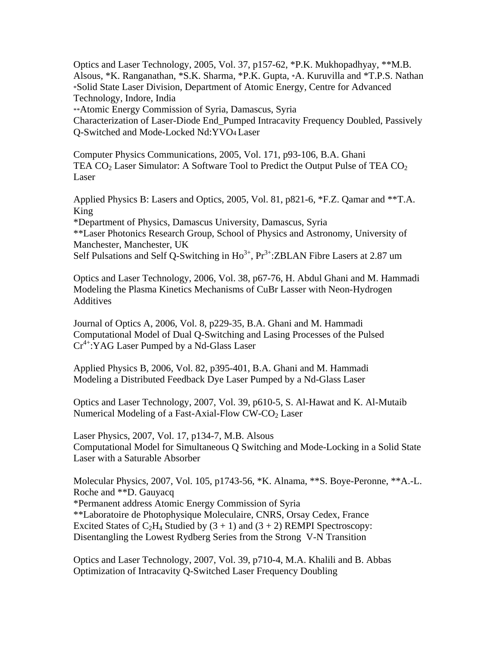Optics and Laser Technology, 2005, Vol. 37, p157-62, \*P.K. Mukhopadhyay, \*\*M.B. Alsous, \*K. Ranganathan, \*S.K. Sharma, \*P.K. Gupta, \*A. Kuruvilla and \*T.P.S. Nathan \*Solid State Laser Division, Department of Atomic Energy, Centre for Advanced Technology, Indore, India

\*\*Atomic Energy Commission of Syria, Damascus, Syria

Characterization of Laser-Diode End\_Pumped Intracavity Frequency Doubled, Passively Q-Switched and Mode-Locked Nd:YVO4 Laser

Computer Physics Communications, 2005, Vol. 171, p93-106, B.A. Ghani TEA  $CO<sub>2</sub>$  Laser Simulator: A Software Tool to Predict the Output Pulse of TEA  $CO<sub>2</sub>$ Laser

Applied Physics B: Lasers and Optics, 2005, Vol. 81, p821-6, \*F.Z. Qamar and \*\*T.A. King

\*Department of Physics, Damascus University, Damascus, Syria \*\*Laser Photonics Research Group, School of Physics and Astronomy, University of Manchester, Manchester, UK

Self Pulsations and Self Q-Switching in Ho<sup>3+</sup>, Pr<sup>3+</sup>:ZBLAN Fibre Lasers at 2.87 um

Optics and Laser Technology, 2006, Vol. 38, p67-76, H. Abdul Ghani and M. Hammadi Modeling the Plasma Kinetics Mechanisms of CuBr Lasser with Neon-Hydrogen Additives

Journal of Optics A, 2006, Vol. 8, p229-35, B.A. Ghani and M. Hammadi Computational Model of Dual Q-Switching and Lasing Processes of the Pulsed Cr<sup>4+</sup>:YAG Laser Pumped by a Nd-Glass Laser

Applied Physics B, 2006, Vol. 82, p395-401, B.A. Ghani and M. Hammadi Modeling a Distributed Feedback Dye Laser Pumped by a Nd-Glass Laser

Optics and Laser Technology, 2007, Vol. 39, p610-5, S. Al-Hawat and K. Al-Mutaib Numerical Modeling of a Fast-Axial-Flow CW-CO<sub>2</sub> Laser

Laser Physics, 2007, Vol. 17, p134-7, M.B. Alsous Computational Model for Simultaneous Q Switching and Mode-Locking in a Solid State Laser with a Saturable Absorber

Molecular Physics, 2007, Vol. 105, p1743-56, \*K. Alnama, \*\*S. Boye-Peronne, \*\*A.-L. Roche and \*\*D. Gauyacq \*Permanent address Atomic Energy Commission of Syria \*\*Laboratoire de Photophysique Moleculaire, CNRS, Orsay Cedex, France Excited States of  $C_2H_4$  Studied by  $(3 + 1)$  and  $(3 + 2)$  REMPI Spectroscopy: Disentangling the Lowest Rydberg Series from the Strong V-N Transition

Optics and Laser Technology, 2007, Vol. 39, p710-4, M.A. Khalili and B. Abbas Optimization of Intracavity Q-Switched Laser Frequency Doubling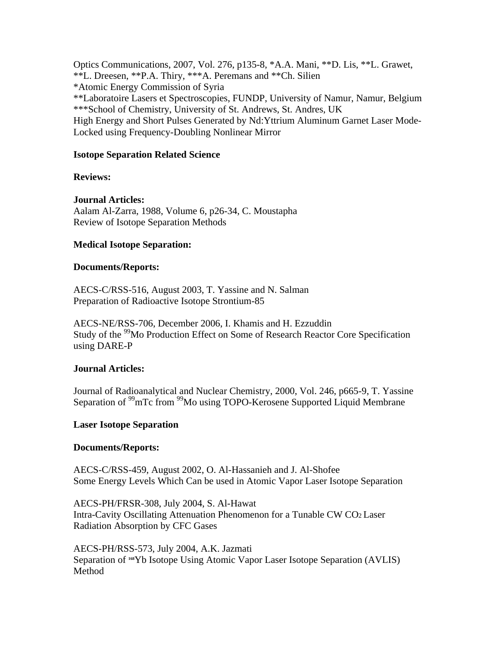Optics Communications, 2007, Vol. 276, p135-8, \*A.A. Mani, \*\*D. Lis, \*\*L. Grawet, \*\*L. Dreesen, \*\*P.A. Thiry, \*\*\*A. Peremans and \*\*Ch. Silien \*Atomic Energy Commission of Syria \*\*Laboratoire Lasers et Spectroscopies, FUNDP, University of Namur, Namur, Belgium \*\*\*School of Chemistry, University of St. Andrews, St. Andres, UK High Energy and Short Pulses Generated by Nd:Yttrium Aluminum Garnet Laser Mode-Locked using Frequency-Doubling Nonlinear Mirror

#### **Isotope Separation Related Science**

#### **Reviews:**

#### **Journal Articles:**

Aalam Al-Zarra, 1988, Volume 6, p26-34, C. Moustapha Review of Isotope Separation Methods

#### **Medical Isotope Separation:**

#### **Documents/Reports:**

AECS-C/RSS-516, August 2003, T. Yassine and N. Salman Preparation of Radioactive Isotope Strontium-85

AECS-NE/RSS-706, December 2006, I. Khamis and H. Ezzuddin Study of the <sup>99</sup>Mo Production Effect on Some of Research Reactor Core Specification using DARE-P

#### **Journal Articles:**

Journal of Radioanalytical and Nuclear Chemistry, 2000, Vol. 246, p665-9, T. Yassine Separation of <sup>99</sup>mTc from <sup>99</sup>Mo using TOPO-Kerosene Supported Liquid Membrane

#### **Laser Isotope Separation**

#### **Documents/Reports:**

AECS-C/RSS-459, August 2002, O. Al-Hassanieh and J. Al-Shofee Some Energy Levels Which Can be used in Atomic Vapor Laser Isotope Separation

AECS-PH/FRSR-308, July 2004, S. Al-Hawat Intra-Cavity Oscillating Attenuation Phenomenon for a Tunable CW CO2 Laser Radiation Absorption by CFC Gases

AECS-PH/RSS-573, July 2004, A.K. Jazmati Separation of **168**Yb Isotope Using Atomic Vapor Laser Isotope Separation (AVLIS) Method